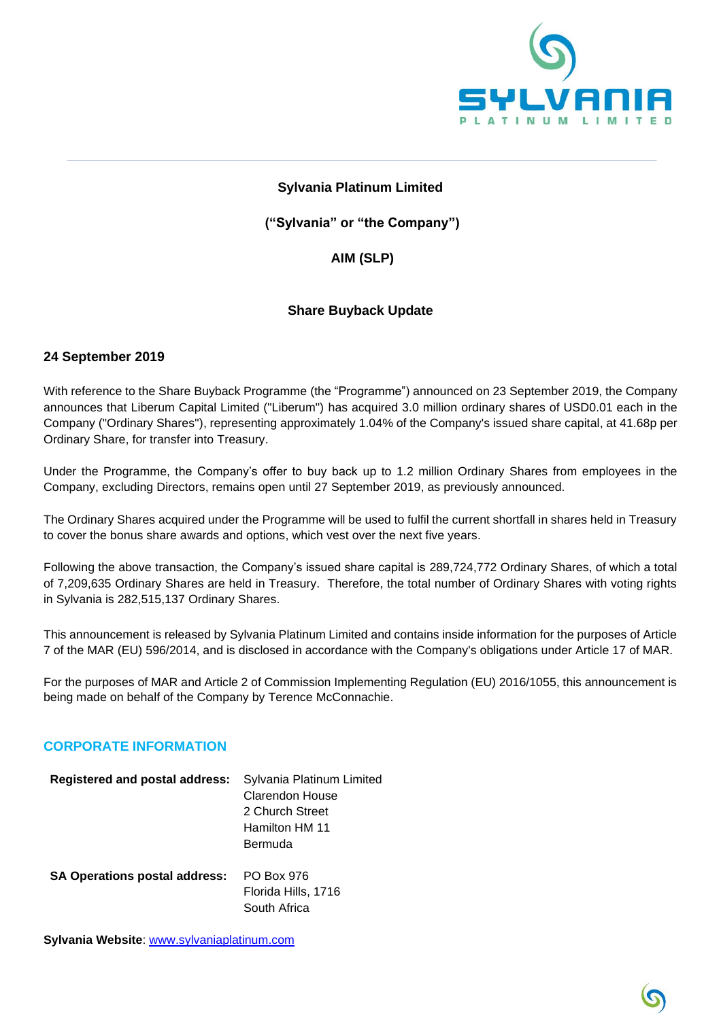

## **Sylvania Platinum Limited**

**\_\_\_\_\_\_\_\_\_\_\_\_\_\_\_\_\_\_\_\_\_\_\_\_\_\_\_\_\_\_\_\_\_\_\_\_\_\_\_\_\_\_\_\_\_\_\_\_\_\_\_\_\_\_\_\_\_\_\_\_\_\_\_\_\_\_\_\_\_\_\_\_\_\_\_\_\_\_\_\_\_\_\_\_\_\_\_\_\_\_\_\_\_\_\_\_\_\_\_\_\_\_\_\_\_\_\_\_\_\_\_\_\_\_\_\_\_\_\_\_\_\_\_\_\_**

**("Sylvania" or "the Company")**

## **AIM (SLP)**

### **Share Buyback Update**

### **24 September 2019**

With reference to the Share Buyback Programme (the "Programme") announced on 23 September 2019, the Company announces that Liberum Capital Limited ("Liberum") has acquired 3.0 million ordinary shares of USD0.01 each in the Company ("Ordinary Shares"), representing approximately 1.04% of the Company's issued share capital, at 41.68p per Ordinary Share, for transfer into Treasury.

Under the Programme, the Company's offer to buy back up to 1.2 million Ordinary Shares from employees in the Company, excluding Directors, remains open until 27 September 2019, as previously announced.

The Ordinary Shares acquired under the Programme will be used to fulfil the current shortfall in shares held in Treasury to cover the bonus share awards and options, which vest over the next five years.

Following the above transaction, the Company's issued share capital is 289,724,772 Ordinary Shares, of which a total of 7,209,635 Ordinary Shares are held in Treasury. Therefore, the total number of Ordinary Shares with voting rights in Sylvania is 282,515,137 Ordinary Shares.

This announcement is released by Sylvania Platinum Limited and contains inside information for the purposes of Article 7 of the MAR (EU) 596/2014, and is disclosed in accordance with the Company's obligations under Article 17 of MAR.

For the purposes of MAR and Article 2 of Commission Implementing Regulation (EU) 2016/1055, this announcement is being made on behalf of the Company by Terence McConnachie.

#### **CORPORATE INFORMATION**

| <b>Registered and postal address:</b> | Sylvania Platinum Limited |
|---------------------------------------|---------------------------|
|                                       | Clarendon House           |
|                                       | 2 Church Street           |
|                                       | Hamilton HM 11            |
|                                       | Bermuda                   |
| <b>SA Operations postal address:</b>  | <b>PO Box 976</b>         |
|                                       | Florida Hills, 1716       |
|                                       | South Africa              |